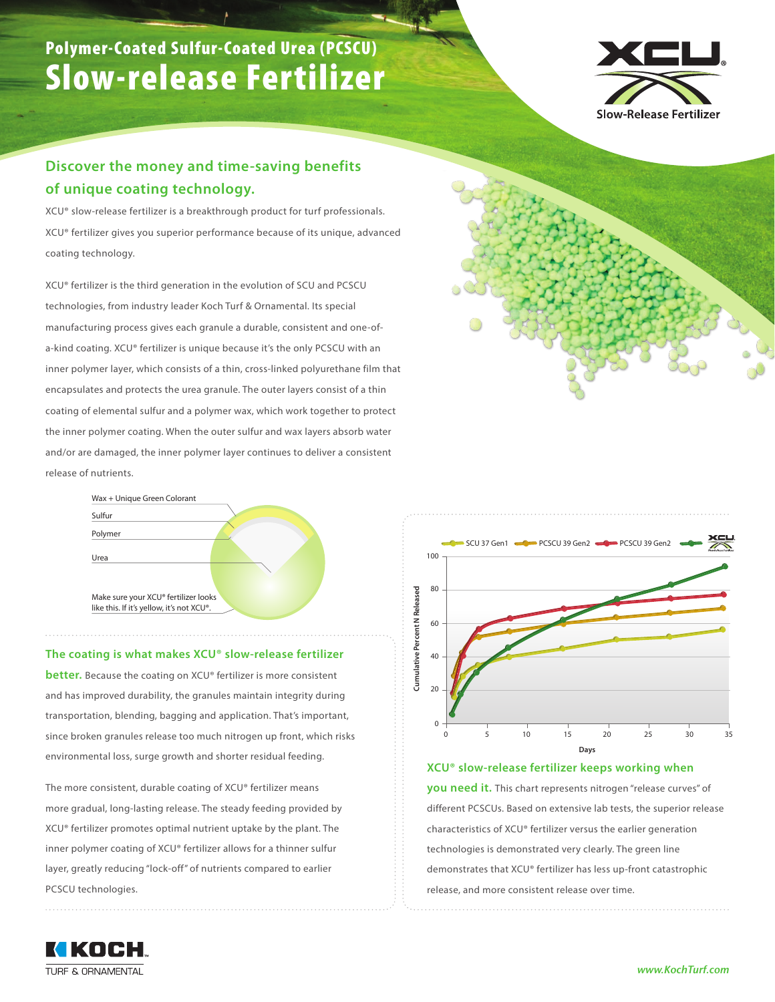# Polymer-Coated Sulfur-Coated Urea (PCSCU) Slow-release Fertilizer



### **Discover the money and time-saving benefits of unique coating technology.**

XCU® slow-release fertilizer is a breakthrough product for turf professionals. XCU® fertilizer gives you superior performance because of its unique, advanced coating technology.

XCU® fertilizer is the third generation in the evolution of SCU and PCSCU technologies, from industry leader Koch Turf & Ornamental. Its special manufacturing process gives each granule a durable, consistent and one-ofa-kind coating. XCU® fertilizer is unique because it's the only PCSCU with an inner polymer layer, which consists of a thin, cross-linked polyurethane film that encapsulates and protects the urea granule. The outer layers consist of a thin coating of elemental sulfur and a polymer wax, which work together to protect the inner polymer coating. When the outer sulfur and wax layers absorb water and/or are damaged, the inner polymer layer continues to deliver a consistent release of nutrients.



#### **The coating is what makes XCU® slow-release fertilizer**

**better.** Because the coating on XCU® fertilizer is more consistent and has improved durability, the granules maintain integrity during transportation, blending, bagging and application. That's important, since broken granules release too much nitrogen up front, which risks environmental loss, surge growth and shorter residual feeding.

The more consistent, durable coating of XCU® fertilizer means more gradual, long-lasting release. The steady feeding provided by XCU® fertilizer promotes optimal nutrient uptake by the plant. The inner polymer coating of XCU® fertilizer allows for a thinner sulfur layer, greatly reducing "lock-off" of nutrients compared to earlier PCSCU technologies.



#### **XCU® slow-release fertilizer keeps working when**

**you need it.** This chart represents nitrogen "release curves" of different PCSCUs. Based on extensive lab tests, the superior release characteristics of XCU® fertilizer versus the earlier generation technologies is demonstrated very clearly. The green line demonstrates that XCU® fertilizer has less up-front catastrophic release, and more consistent release over time.